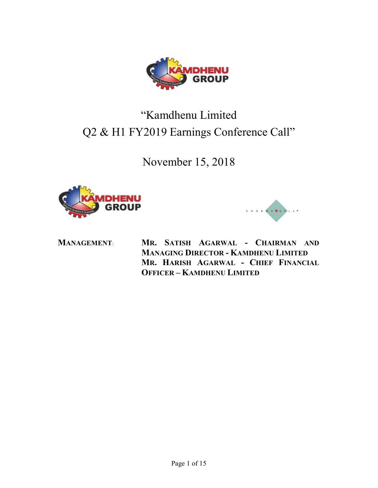

# "Kamdhenu Limited Q2 & H1 FY2019 Earnings Conference Call"

November 15, 2018





CHORUS CALL<sup>8</sup>

OFFICER – KAMDHENU LIMITED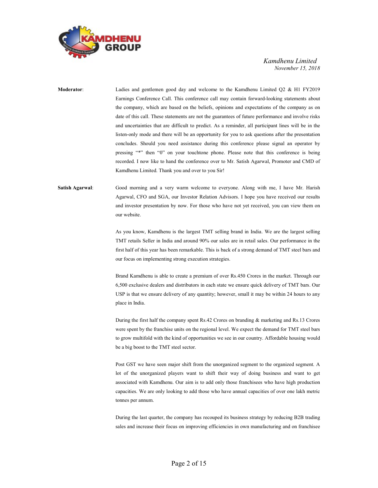

# Moderator: Ladies and gentlemen good day and welcome to the Kamdhenu Limited Q2 & H1 FY2019 Earnings Conference Call. This conference call may contain forward-looking statements about the company, which are based on the beliefs, opinions and expectations of the company as on date of this call. These statements are not the guarantees of future performance and involve risks and uncertainties that are difficult to predict. As a reminder, all participant lines will be in the listen-only mode and there will be an opportunity for you to ask questions after the presentation concludes. Should you need assistance during this conference please signal an operator by pressing "\*" then "0" on your touchtone phone. Please note that this conference is being recorded. I now like to hand the conference over to Mr. Satish Agarwal, Promoter and CMD of Kamdhenu Limited. Thank you and over to you Sir!

# Satish Agarwal: Good morning and a very warm welcome to everyone. Along with me, I have Mr. Harish Agarwal, CFO and SGA, our Investor Relation Advisors. I hope you have received our results and investor presentation by now. For those who have not yet received, you can view them on our website.

As you know, Kamdhenu is the largest TMT selling brand in India. We are the largest selling TMT retails Seller in India and around 90% our sales are in retail sales. Our performance in the first half of this year has been remarkable. This is back of a strong demand of TMT steel bars and our focus on implementing strong execution strategies.

 Brand Kamdhenu is able to create a premium of over Rs.450 Crores in the market. Through our 6,500 exclusive dealers and distributors in each state we ensure quick delivery of TMT bars. Our USP is that we ensure delivery of any quantity; however, small it may be within 24 hours to any place in India.

 During the first half the company spent Rs.42 Crores on branding & marketing and Rs.13 Crores were spent by the franchise units on the regional level. We expect the demand for TMT steel bars to grow multifold with the kind of opportunities we see in our country. Affordable housing would be a big boost to the TMT steel sector.

 Post GST we have seen major shift from the unorganized segment to the organized segment. A lot of the unorganized players want to shift their way of doing business and want to get associated with Kamdhenu. Our aim is to add only those franchisees who have high production capacities. We are only looking to add those who have annual capacities of over one lakh metric tonnes per annum.

 During the last quarter, the company has recouped its business strategy by reducing B2B trading sales and increase their focus on improving efficiencies in own manufacturing and on franchisee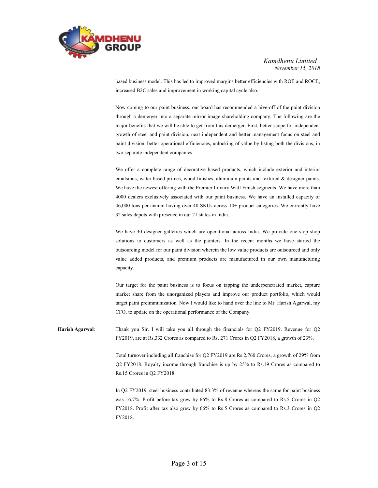

based business model. This has led to improved margins better efficiencies with ROE and ROCE, increased B2C sales and improvement in working capital cycle also.

 Now coming to our paint business, our board has recommended a hive-off of the paint division through a demerger into a separate mirror image shareholding company. The following are the major benefits that we will be able to get from this demerger. First, better scope for independent growth of steel and paint division, next independent and better management focus on steel and paint division, better operational efficiencies, unlocking of value by listing both the divisions, in two separate independent companies.

 We offer a complete range of decorative based products, which include exterior and interior emulsions, water based primes, wood finishes, aluminum paints and textured & designer paints. We have the newest offering with the Premier Luxury Wall Finish segments. We have more than 4000 dealers exclusively associated with our paint business. We have an installed capacity of 46,000 tons per annum having over 40 SKUs across 10+ product categories. We currently have 32 sales depots with presence in our 21 states in India.

 We have 30 designer galleries which are operational across India. We provide one stop shop solutions to customers as well as the painters. In the recent months we have started the outsourcing model for our paint division wherein the low value products are outsourced and only value added products, and premium products are manufactured in our own manufacturing capacity.

 Our target for the paint business is to focus on tapping the underpenetrated market, capture market share from the unorganized players and improve our product portfolio, which would target paint preimmunization. Now I would like to hand over the line to Mr. Harish Agarwal, my CFO, to update on the operational performance of the Company.

Harish Agarwal: Thank you Sir. I will take you all through the financials for Q2 FY2019. Revenue for Q2 FY2019, are at Rs.332 Crores as compared to Rs. 271 Crores in Q2 FY2018, a growth of 23%.

> Total turnover including all franchise for Q2 FY2019 are Rs.2,760 Crores, a growth of 29% from Q2 FY2018. Royalty income through franchise is up by 25% to Rs.19 Crores as compared to Rs.15 Crores in Q2 FY2018.

> In Q2 FY2019, steel business contributed 83.3% of revenue whereas the same for paint business was 16.7%. Profit before tax grew by 66% to Rs.8 Crores as compared to Rs.5 Crores in Q2 FY2018. Profit after tax also grew by 66% to Rs.5 Crores as compared to Rs.3 Crores in Q2 FY2018.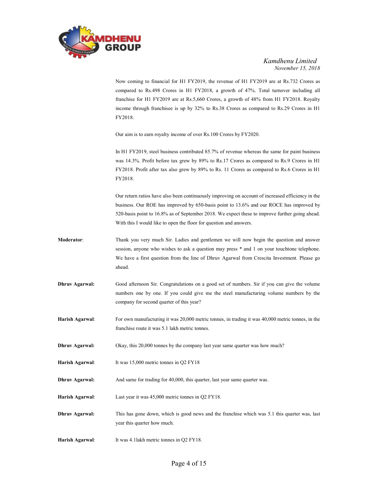

 Now coming to financial for H1 FY2019, the revenue of H1 FY2019 are at Rs.732 Crores as compared to Rs.498 Crores in H1 FY2018, a growth of 47%. Total turnover including all franchise for H1 FY2019 are at Rs.5,660 Crores, a growth of 48% from H1 FY2018. Royalty income through franchisee is up by 32% to Rs.38 Crores as compared to Rs.29 Crores in H1 FY2018.

Our aim is to earn royalty income of over Rs.100 Crores by FY2020.

 In H1 FY2019, steel business contributed 85.7% of revenue whereas the same for paint business was 14.3%. Profit before tax grew by 89% to Rs.17 Crores as compared to Rs.9 Crores in H1 FY2018. Profit after tax also grew by 89% to Rs. 11 Crores as compared to Rs.6 Crores in H1 FY2018.

 Our return ratios have also been continuously improving on account of increased efficiency in the business. Our ROE has improved by 650-basis point to 13.6% and our ROCE has improved by 520-basis point to 16.8% as of September 2018. We expect these to improve further going ahead. With this I would like to open the floor for question and answers.

- Moderator: Thank you very much Sir. Ladies and gentlemen we will now begin the question and answer session, anyone who wishes to ask a question may press \* and 1 on your touchtone telephone. We have a first question from the line of Dhruv Agarwal from Crescita Investment. Please go ahead.
- Dhruv Agarwal: Good afternoon Sir. Congratulations on a good set of numbers. Sir if you can give the volume numbers one by one. If you could give me the steel manufacturing volume numbers by the company for second quarter of this year?
- Harish Agarwal: For own manufacturing it was 20,000 metric tonnes, in trading it was 40,000 metric tonnes, in the franchise route it was 5.1 lakh metric tonnes.
- Dhruv Agarwal: Okay, this 20,000 tonnes by the company last year same quarter was how much?
- Harish Agarwal: It was 15,000 metric tonnes in Q2 FY18
- Dhruv Agarwal: And same for trading for 40,000, this quarter, last year same quarter was.
- Harish Agarwal: Last year it was 45,000 metric tonnes in Q2 FY18.
- Dhruv Agarwal: This has gone down, which is good news and the franchise which was 5.1 this quarter was, last year this quarter how much.
- Harish Agarwal: It was 4.1 lakh metric tonnes in Q2 FY18.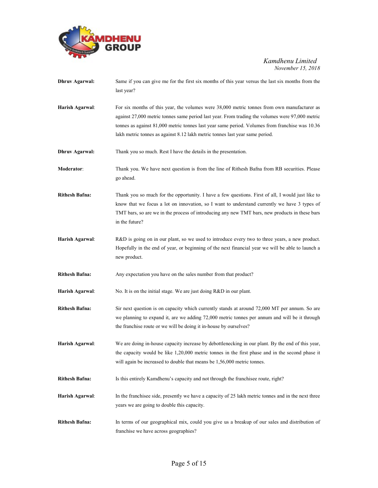

| <b>Dhruv Agarwal:</b> | Same if you can give me for the first six months of this year versus the last six months from the<br>last year?                                                                                                                                                                                                                                                                  |
|-----------------------|----------------------------------------------------------------------------------------------------------------------------------------------------------------------------------------------------------------------------------------------------------------------------------------------------------------------------------------------------------------------------------|
| Harish Agarwal:       | For six months of this year, the volumes were 38,000 metric tonnes from own manufacturer as<br>against 27,000 metric tonnes same period last year. From trading the volumes were 97,000 metric<br>tonnes as against 81,000 metric tonnes last year same period. Volumes from franchise was 10.36<br>lakh metric tonnes as against 8.12 lakh metric tonnes last year same period. |
| <b>Dhruv Agarwal:</b> | Thank you so much. Rest I have the details in the presentation.                                                                                                                                                                                                                                                                                                                  |
| <b>Moderator:</b>     | Thank you. We have next question is from the line of Rithesh Bafna from RB securities. Please<br>go ahead.                                                                                                                                                                                                                                                                       |
| <b>Rithesh Bafna:</b> | Thank you so much for the opportunity. I have a few questions. First of all, I would just like to<br>know that we focus a lot on innovation, so I want to understand currently we have 3 types of<br>TMT bars, so are we in the process of introducing any new TMT bars, new products in these bars<br>in the future?                                                            |
| Harish Agarwal:       | R&D is going on in our plant, so we used to introduce every two to three years, a new product.<br>Hopefully in the end of year, or beginning of the next financial year we will be able to launch a<br>new product.                                                                                                                                                              |
| <b>Rithesh Bafna:</b> | Any expectation you have on the sales number from that product?                                                                                                                                                                                                                                                                                                                  |
| Harish Agarwal:       | No. It is on the initial stage. We are just doing R&D in our plant.                                                                                                                                                                                                                                                                                                              |
| <b>Rithesh Bafna:</b> | Sir next question is on capacity which currently stands at around 72,000 MT per annum. So are<br>we planning to expand it, are we adding 72,000 metric tonnes per annum and will be it through<br>the franchise route or we will be doing it in-house by ourselves?                                                                                                              |
| Harish Agarwal:       | We are doing in-house capacity increase by debottlenecking in our plant. By the end of this year,<br>the capacity would be like 1,20,000 metric tonnes in the first phase and in the second phase it<br>will again be increased to double that means be 1,56,000 metric tonnes.                                                                                                  |
| <b>Rithesh Bafna:</b> | Is this entirely Kamdhenu's capacity and not through the franchisee route, right?                                                                                                                                                                                                                                                                                                |
| Harish Agarwal:       | In the franchisee side, presently we have a capacity of 25 lakh metric tonnes and in the next three<br>years we are going to double this capacity.                                                                                                                                                                                                                               |
| <b>Rithesh Bafna:</b> | In terms of our geographical mix, could you give us a breakup of our sales and distribution of<br>franchise we have across geographies?                                                                                                                                                                                                                                          |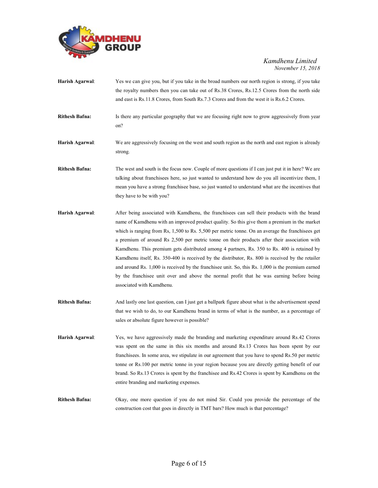

| Harish Agarwal:       | Yes we can give you, but if you take in the broad numbers our north region is strong, if you take<br>the royalty numbers then you can take out of Rs.38 Crores, Rs.12.5 Crores from the north side<br>and east is Rs.11.8 Crores, from South Rs.7.3 Crores and from the west it is Rs.6.2 Crores.                                                                                                                                                                                                                                                                                                                                                                                                                                                                                                                                 |
|-----------------------|-----------------------------------------------------------------------------------------------------------------------------------------------------------------------------------------------------------------------------------------------------------------------------------------------------------------------------------------------------------------------------------------------------------------------------------------------------------------------------------------------------------------------------------------------------------------------------------------------------------------------------------------------------------------------------------------------------------------------------------------------------------------------------------------------------------------------------------|
| <b>Rithesh Bafna:</b> | Is there any particular geography that we are focusing right now to grow aggressively from year<br>on?                                                                                                                                                                                                                                                                                                                                                                                                                                                                                                                                                                                                                                                                                                                            |
| Harish Agarwal:       | We are aggressively focusing on the west and south region as the north and east region is already<br>strong.                                                                                                                                                                                                                                                                                                                                                                                                                                                                                                                                                                                                                                                                                                                      |
| <b>Rithesh Bafna:</b> | The west and south is the focus now. Couple of more questions if I can just put it in here? We are<br>talking about franchisees here, so just wanted to understand how do you all incentivize them, I<br>mean you have a strong franchise base, so just wanted to understand what are the incentives that<br>they have to be with you?                                                                                                                                                                                                                                                                                                                                                                                                                                                                                            |
| Harish Agarwal:       | After being associated with Kamdhenu, the franchisees can sell their products with the brand<br>name of Kamdhenu with an improved product quality. So this give them a premium in the market<br>which is ranging from Rs, 1,500 to Rs. 5,500 per metric tonne. On an average the franchisees get<br>a premium of around Rs 2,500 per metric tonne on their products after their association with<br>Kamdhenu. This premium gets distributed among 4 partners, Rs. 350 to Rs. 400 is retained by<br>Kamdhenu itself, Rs. 350-400 is received by the distributor, Rs. 800 is received by the retailer<br>and around Rs. 1,000 is received by the franchisee unit. So, this Rs. 1,000 is the premium earned<br>by the franchisee unit over and above the normal profit that he was earning before being<br>associated with Kamdhenu. |
| <b>Rithesh Bafna:</b> | And lastly one last question, can I just get a ballpark figure about what is the advertisement spend<br>that we wish to do, to our Kamdhenu brand in terms of what is the number, as a percentage of<br>sales or absolute figure however is possible?                                                                                                                                                                                                                                                                                                                                                                                                                                                                                                                                                                             |
| Harish Agarwal:       | Yes, we have aggressively made the branding and marketing expenditure around Rs.42 Crores<br>was spent on the same in this six months and around Rs.13 Crores has been spent by our<br>franchisees. In some area, we stipulate in our agreement that you have to spend Rs.50 per metric<br>tonne or Rs.100 per metric tonne in your region because you are directly getting benefit of our<br>brand. So Rs.13 Crores is spent by the franchisee and Rs.42 Crores is spent by Kamdhenu on the<br>entire branding and marketing expenses.                                                                                                                                                                                                                                                                                           |
| <b>Rithesh Bafna:</b> | Okay, one more question if you do not mind Sir. Could you provide the percentage of the<br>construction cost that goes in directly in TMT bars? How much is that percentage?                                                                                                                                                                                                                                                                                                                                                                                                                                                                                                                                                                                                                                                      |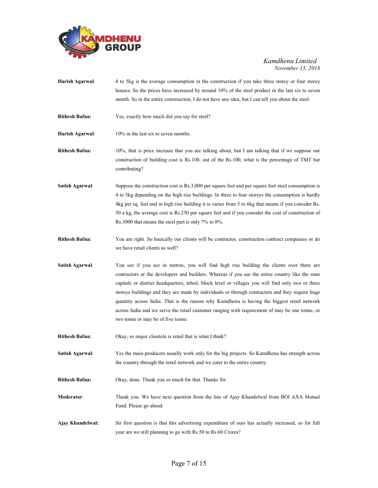

- Harish Agarwal: 4 to 5kg is the average consumption in the construction if you take three storey or four storey houses. So the prices have increased by around 10% of the steel product in the last six to seven month. So in the entire construction, I do not have any idea, but I can tell you about the steel.
- Rithesh Bafna: Yes, exactly how much did you say for steel?
- Harish Agarwal: 10% in the last six to seven months.
- Rithesh Bafna: 10%, that is price increase that you are talking about, but I am talking that if we suppose our construction of building cost is Rs.100, out of the Rs.100, what is the percentage of TMT bar contributing?
- Satish Agarwal: Suppose the construction cost is Rs.3,000 per square feet and per square feet steel consumption is 4 to 5kg depending on the high rise buildings. In three to four storeys the consumption is hardly 4kg per sq. feet and in high rise building it is varies from 5 to 6kg that means if you consider Rs. 50 a kg, the average cost is Rs.250 per square feet and if you consider the cost of construction of Rs.3000 that means the steel part is only 7% to 8%.
- Rithesh Bafna: You are right. So basically our clients will be contractor, construction contract companies or do we have retail clients as well?
- Satish Agarwal: You see if you see in metros, you will find high rise building the clients over there are contractors or the developers and builders. Whereas if you see the entire country like the state capitals or district headquarters, tehsil, block level or villages you will find only two or three storeys buildings and they are made by individuals or through contractors and they require huge quantity across India. That is the reason why Kamdhenu is having the biggest retail network across India and we serve the retail customer ranging with requirement of may be one tonne, or two tonne or may be of five tonne.
- Rithesh Bafna: Okay, so major clientele is retail that is what I think?
- Satish Agarwal: Yes the main producers usually work only for the big projects. So Kamdhenu has strength across the country through the retail network and we cater to the entire country.
- Rithesh Bafna: Okay, done. Thank you so much for that. Thanks Sir.
- Moderator: Thank you. We have next question from the line of Ajay Khandelwal from BOI AXA Mutual Fund. Please go ahead.
- Ajay Khandelwal: Sir first question is that this advertising expenditure of ours has actually increased, so for full year are we still planning to go with Rs.50 to Rs.60 Crores?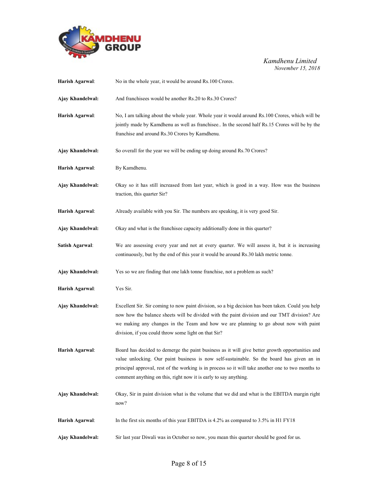

| Harish Agarwal:        | No in the whole year, it would be around Rs.100 Crores.                                                                                                                                                                                                                                                                                                                |
|------------------------|------------------------------------------------------------------------------------------------------------------------------------------------------------------------------------------------------------------------------------------------------------------------------------------------------------------------------------------------------------------------|
| Ajay Khandelwal:       | And franchisees would be another Rs.20 to Rs.30 Crores?                                                                                                                                                                                                                                                                                                                |
| Harish Agarwal:        | No, I am talking about the whole year. Whole year it would around Rs.100 Crores, which will be<br>jointly made by Kamdhenu as well as franchisee In the second half Rs.15 Crores will be by the<br>franchise and around Rs.30 Crores by Kamdhenu.                                                                                                                      |
| Ajay Khandelwal:       | So overall for the year we will be ending up doing around Rs.70 Crores?                                                                                                                                                                                                                                                                                                |
| Harish Agarwal:        | By Kamdhenu.                                                                                                                                                                                                                                                                                                                                                           |
| Ajay Khandelwal:       | Okay so it has still increased from last year, which is good in a way. How was the business<br>traction, this quarter Sir?                                                                                                                                                                                                                                             |
| Harish Agarwal:        | Already available with you Sir. The numbers are speaking, it is very good Sir.                                                                                                                                                                                                                                                                                         |
| Ajay Khandelwal:       | Okay and what is the franchisee capacity additionally done in this quarter?                                                                                                                                                                                                                                                                                            |
| <b>Satish Agarwal:</b> | We are assessing every year and not at every quarter. We will assess it, but it is increasing<br>continuously, but by the end of this year it would be around Rs.30 lakh metric tonne.                                                                                                                                                                                 |
| Ajay Khandelwal:       | Yes so we are finding that one lakh tonne franchise, not a problem as such?                                                                                                                                                                                                                                                                                            |
| Harish Agarwal:        | Yes Sir.                                                                                                                                                                                                                                                                                                                                                               |
| Ajay Khandelwal:       | Excellent Sir. Sir coming to now paint division, so a big decision has been taken. Could you help<br>now how the balance sheets will be divided with the paint division and our TMT division? Are<br>we making any changes in the Team and how we are planning to go about now with paint<br>division, if you could throw some light on that Sir?                      |
| Harish Agarwal:        | Board has decided to demerge the paint business as it will give better growth opportunities and<br>value unlocking. Our paint business is now self-sustainable. So the board has given an in<br>principal approval, rest of the working is in process so it will take another one to two months to<br>comment anything on this, right now it is early to say anything. |
| Ajay Khandelwal:       | Okay, Sir in paint division what is the volume that we did and what is the EBITDA margin right<br>now?                                                                                                                                                                                                                                                                 |
| Harish Agarwal:        | In the first six months of this year EBITDA is 4.2% as compared to 3.5% in H1 FY18                                                                                                                                                                                                                                                                                     |
| Ajay Khandelwal:       | Sir last year Diwali was in October so now, you mean this quarter should be good for us.                                                                                                                                                                                                                                                                               |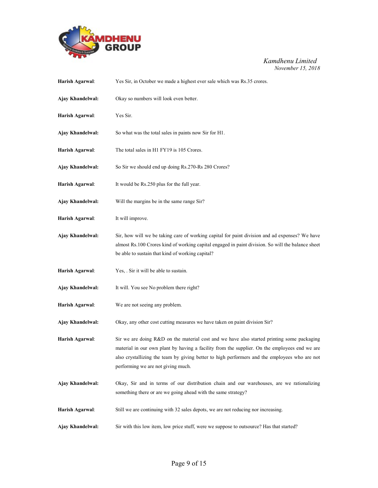

| Harish Agarwal:  | Yes Sir, in October we made a highest ever sale which was Rs.35 crores.                                                                                                                                                                                                                                                            |
|------------------|------------------------------------------------------------------------------------------------------------------------------------------------------------------------------------------------------------------------------------------------------------------------------------------------------------------------------------|
| Ajay Khandelwal: | Okay so numbers will look even better.                                                                                                                                                                                                                                                                                             |
| Harish Agarwal:  | Yes Sir.                                                                                                                                                                                                                                                                                                                           |
| Ajay Khandelwal: | So what was the total sales in paints now Sir for H1.                                                                                                                                                                                                                                                                              |
| Harish Agarwal:  | The total sales in H1 FY19 is 105 Crores.                                                                                                                                                                                                                                                                                          |
| Ajay Khandelwal: | So Sir we should end up doing Rs.270-Rs 280 Crores?                                                                                                                                                                                                                                                                                |
| Harish Agarwal:  | It would be Rs.250 plus for the full year.                                                                                                                                                                                                                                                                                         |
| Ajay Khandelwal: | Will the margins be in the same range Sir?                                                                                                                                                                                                                                                                                         |
| Harish Agarwal:  | It will improve.                                                                                                                                                                                                                                                                                                                   |
| Ajay Khandelwal: | Sir, how will we be taking care of working capital for paint division and ad expenses? We have<br>almost Rs.100 Crores kind of working capital engaged in paint division. So will the balance sheet<br>be able to sustain that kind of working capital?                                                                            |
| Harish Agarwal:  | Yes, . Sir it will be able to sustain.                                                                                                                                                                                                                                                                                             |
| Ajay Khandelwal: | It will. You see No problem there right?                                                                                                                                                                                                                                                                                           |
| Harish Agarwal:  | We are not seeing any problem.                                                                                                                                                                                                                                                                                                     |
| Ajay Khandelwal: | Okay, any other cost cutting measures we have taken on paint division Sir?                                                                                                                                                                                                                                                         |
| Harish Agarwal:  | Sir we are doing R&D on the material cost and we have also started printing some packaging<br>material in our own plant by having a facility from the supplier. On the employees end we are<br>also crystallizing the team by giving better to high performers and the employees who are not<br>performing we are not giving much. |
| Ajay Khandelwal: | Okay, Sir and in terms of our distribution chain and our warehouses, are we rationalizing<br>something there or are we going ahead with the same strategy?                                                                                                                                                                         |
| Harish Agarwal:  | Still we are continuing with 32 sales depots, we are not reducing nor increasing.                                                                                                                                                                                                                                                  |
| Ajay Khandelwal: | Sir with this low item, low price stuff, were we suppose to outsource? Has that started?                                                                                                                                                                                                                                           |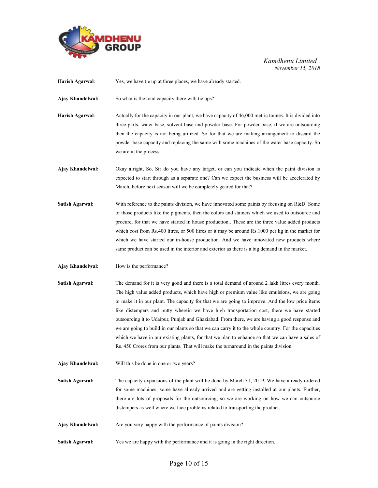

| Harish Agarwal:        | Yes, we have tie up at three places, we have already started.                                                                                                                                                                                                                                                                                                                                                                                                                                                                                                                                                                                                                                                                                                                                          |
|------------------------|--------------------------------------------------------------------------------------------------------------------------------------------------------------------------------------------------------------------------------------------------------------------------------------------------------------------------------------------------------------------------------------------------------------------------------------------------------------------------------------------------------------------------------------------------------------------------------------------------------------------------------------------------------------------------------------------------------------------------------------------------------------------------------------------------------|
| Ajay Khandelwal:       | So what is the total capacity there with tie ups?                                                                                                                                                                                                                                                                                                                                                                                                                                                                                                                                                                                                                                                                                                                                                      |
| Harish Agarwal:        | Actually for the capacity in our plant, we have capacity of 46,000 metric tonnes. It is divided into<br>three parts, water base, solvent base and powder base. For powder base, if we are outsourcing<br>then the capacity is not being utilized. So for that we are making arrangement to discard the<br>powder base capacity and replacing the same with some machines of the water base capacity. So<br>we are in the process.                                                                                                                                                                                                                                                                                                                                                                      |
| Ajay Khandelwal:       | Okay alright, So, Sir do you have any target, or can you indicate when the paint division is<br>expected to start through as a separate one? Can we expect the business will be accelerated by<br>March, before next season will we be completely geared for that?                                                                                                                                                                                                                                                                                                                                                                                                                                                                                                                                     |
| <b>Satish Agarwal:</b> | With reference to the paints division, we have innovated some paints by focusing on R&D. Some<br>of those products like the pigments, then the colors and stainers which we used to outsource and<br>procure, for that we have started in house production These are the three value added products<br>which cost from Rs.400 litres, or 500 litres or it may be around Rs.1000 per kg in the market for<br>which we have started our in-house production. And we have innovated new products where<br>same product can be used in the interior and exterior as there is a big demand in the market.                                                                                                                                                                                                   |
| Ajay Khandelwal:       | How is the performance?                                                                                                                                                                                                                                                                                                                                                                                                                                                                                                                                                                                                                                                                                                                                                                                |
|                        |                                                                                                                                                                                                                                                                                                                                                                                                                                                                                                                                                                                                                                                                                                                                                                                                        |
| <b>Satish Agarwal:</b> | The demand for it is very good and there is a total demand of around 2 lakh litres every month.<br>The high value added products, which have high or premium value like emulsions, we are going<br>to make it in our plant. The capacity for that we are going to improve. And the low price items<br>like distempers and putty wherein we have high transportation cost, there we have started<br>outsourcing it to Udaipur, Punjab and Ghaziabad. From there, we are having a good response and<br>we are going to build in our plants so that we can carry it to the whole country. For the capacities<br>which we have in our existing plants, for that we plan to enhance so that we can have a sales of<br>Rs. 450 Crores from our plants. That will make the turnaround in the paints division. |
| Ajay Khandelwal:       | Will this be done in one or two years?                                                                                                                                                                                                                                                                                                                                                                                                                                                                                                                                                                                                                                                                                                                                                                 |
| <b>Satish Agarwal:</b> | The capacity expansions of the plant will be done by March 31, 2019. We have already ordered<br>for some machines, some have already arrived and are getting installed at our plants. Further,<br>there are lots of proposals for the outsourcing, so we are working on how we can outsource<br>distempers as well where we face problems related to transporting the product.                                                                                                                                                                                                                                                                                                                                                                                                                         |
| Ajay Khandelwal:       | Are you very happy with the performance of paints division?                                                                                                                                                                                                                                                                                                                                                                                                                                                                                                                                                                                                                                                                                                                                            |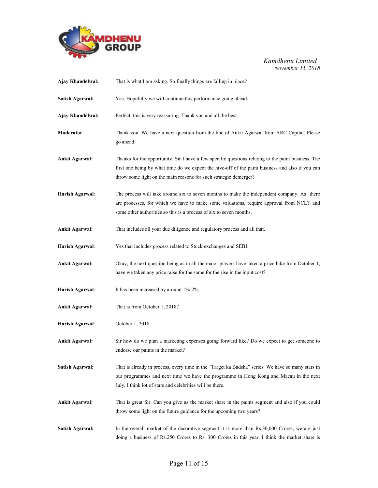

| Ajay Khandelwal:       | That is what I am asking. So finally things are falling in place?                                                                                                                                                                                                            |
|------------------------|------------------------------------------------------------------------------------------------------------------------------------------------------------------------------------------------------------------------------------------------------------------------------|
| <b>Satish Agarwal:</b> | Yes. Hopefully we will continue this performance going ahead.                                                                                                                                                                                                                |
| Ajay Khandelwal:       | Perfect. this is very reassuring. Thank you and all the best.                                                                                                                                                                                                                |
| Moderator:             | Thank you. We have a next question from the line of Ankit Agarwal from ARC Capital. Please<br>go ahead.                                                                                                                                                                      |
| <b>Ankit Agarwal:</b>  | Thanks for the opportunity. Sir I have a few specific questions relating to the paint business. The<br>first one being by what time do we expect the hive-off of the paint business and also if you can<br>throw some light on the main reasons for such strategic demerger? |
| Harish Agarwal:        | The process will take around six to seven months to make the independent company. As there<br>are processes, for which we have to make some valuations, require approval from NCLT and<br>some other authorities so this is a process of six to seven months.                |
| <b>Ankit Agarwal:</b>  | That includes all your due diligence and regulatory process and all that.                                                                                                                                                                                                    |
| Harish Agarwal:        | Yes that includes process related to Stock exchanges and SEBI.                                                                                                                                                                                                               |
| <b>Ankit Agarwal:</b>  | Okay, the next question being as in all the major players have taken a price hike from October 1,<br>have we taken any price raise for the same for the rise in the input cost?                                                                                              |
| Harish Agarwal:        | It has been increased by around 1%-2%.                                                                                                                                                                                                                                       |
| <b>Ankit Agarwal:</b>  | That is from October 1, 2018?                                                                                                                                                                                                                                                |
| Harish Agarwal:        | October 1, 2018.                                                                                                                                                                                                                                                             |
| <b>Ankit Agarwal:</b>  | Sir how do we plan a marketing expenses going forward like? Do we expect to get someone to<br>endorse our paints in the market?                                                                                                                                              |
| <b>Satish Agarwal:</b> | That is already in process, every time in the "Target ka Badsha" series. We have so many stars in<br>our programmes and next time we have the programme in Hong Kong and Macau in the next<br>July, I think lot of stars and celebrities will be there.                      |
| <b>Ankit Agarwal:</b>  | That is great Sir. Can you give us the market share in the paints segment and also if you could<br>throw some light on the future guidance for the upcoming two years?                                                                                                       |
| <b>Satish Agarwal:</b> | In the overall market of the decorative segment it is more than Rs.30,000 Crores, we are just<br>doing a business of Rs.250 Crores to Rs. 300 Crores in this year. I think the market share is                                                                               |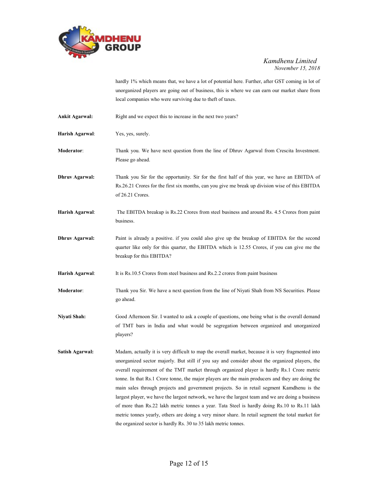

hardly 1% which means that, we have a lot of potential here. Further, after GST coming in lot of unorganized players are going out of business, this is where we can earn our market share from local companies who were surviving due to theft of taxes.

Ankit Agarwal: Right and we expect this to increase in the next two years?

Harish Agarwal: Yes, yes, surely.

Moderator: Thank you. We have next question from the line of Dhruv Agarwal from Crescita Investment. Please go ahead.

**Dhruv Agarwal:** Thank you Sir for the opportunity. Sir for the first half of this year, we have an EBITDA of Rs.26.21 Crores for the first six months, can you give me break up division wise of this EBITDA of 26.21 Crores.

- Harish Agarwal: The EBITDA breakup is Rs.22 Crores from steel business and around Rs. 4.5 Crores from paint business.
- Dhruv Agarwal: Paint is already a positive. if you could also give up the breakup of EBITDA for the second quarter like only for this quarter, the EBITDA which is 12.55 Crores, if you can give me the breakup for this EBITDA?

Harish Agarwal: It is Rs.10.5 Crores from steel business and Rs.2.2 crores from paint business

- Moderator: Thank you Sir. We have a next question from the line of Niyati Shah from NS Securities. Please go ahead.
- Niyati Shah: Good Afternoon Sir. I wanted to ask a couple of questions, one being what is the overall demand of TMT bars in India and what would be segregation between organized and unorganized players?
- Satish Agarwal: Madam, actually it is very difficult to map the overall market, because it is very fragmented into unorganized sector majorly. But still if you say and consider about the organized players, the overall requirement of the TMT market through organized player is hardly Rs.1 Crore metric tonne. In that Rs.1 Crore tonne, the major players are the main producers and they are doing the main sales through projects and government projects. So in retail segment Kamdhenu is the largest player, we have the largest network, we have the largest team and we are doing a business of more than Rs.22 lakh metric tonnes a year. Tata Steel is hardly doing Rs.10 to Rs.11 lakh metric tonnes yearly, others are doing a very minor share. In retail segment the total market for the organized sector is hardly Rs. 30 to 35 lakh metric tonnes.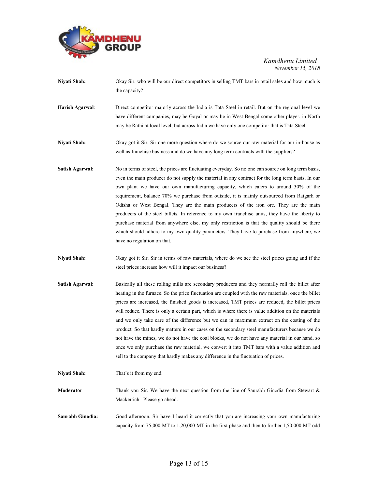

- Niyati Shah: Okay Sir, who will be our direct competitors in selling TMT bars in retail sales and how much is the capacity?
- Harish Agarwal: Direct competitor majorly across the India is Tata Steel in retail. But on the regional level we have different companies, may be Goyal or may be in West Bengal some other player, in North may be Rathi at local level, but across India we have only one competitor that is Tata Steel.
- Niyati Shah: Okay got it Sir. Sir one more question where do we source our raw material for our in-house as well as franchise business and do we have any long term contracts with the suppliers?
- Satish Agarwal: No in terms of steel, the prices are fluctuating everyday. So no one can source on long term basis, even the main producer do not supply the material in any contract for the long term basis. In our own plant we have our own manufacturing capacity, which caters to around 30% of the requirement, balance 70% we purchase from outside, it is mainly outsourced from Raigarh or Odisha or West Bengal. They are the main producers of the iron ore. They are the main producers of the steel billets. In reference to my own franchise units, they have the liberty to purchase material from anywhere else, my only restriction is that the quality should be there which should adhere to my own quality parameters. They have to purchase from anywhere, we have no regulation on that.
- Niyati Shah: Okay got it Sir. Sir in terms of raw materials, where do we see the steel prices going and if the steel prices increase how will it impact our business?
- Satish Agarwal: Basically all these rolling mills are secondary producers and they normally roll the billet after heating in the furnace. So the price fluctuation are coupled with the raw materials, once the billet prices are increased, the finished goods is increased, TMT prices are reduced, the billet prices will reduce. There is only a certain part, which is where there is value addition on the materials and we only take care of the difference but we can in maximum extract on the costing of the product. So that hardly matters in our cases on the secondary steel manufacturers because we do not have the mines, we do not have the coal blocks, we do not have any material in our hand, so once we only purchase the raw material, we convert it into TMT bars with a value addition and sell to the company that hardly makes any difference in the fluctuation of prices.
- Niyati Shah: That's it from my end. Moderator: Thank you Sir. We have the next question from the line of Saurabh Ginodia from Stewart & Mackertich. Please go ahead. Saurabh Ginodia: Good afternoon. Sir have I heard it correctly that you are increasing your own manufacturing capacity from 75,000 MT to 1,20,000 MT in the first phase and then to further 1,50,000 MT odd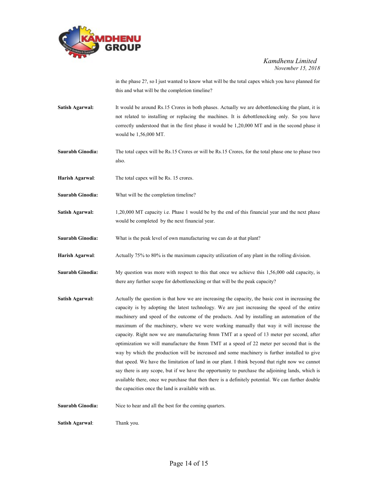

in the phase 2?, so I just wanted to know what will be the total capex which you have planned for this and what will be the completion timeline?

- Satish Agarwal: It would be around Rs.15 Crores in both phases. Actually we are debottlenecking the plant, it is not related to installing or replacing the machines. It is debottlenecking only. So you have correctly understood that in the first phase it would be 1,20,000 MT and in the second phase it would be 1,56,000 MT.
- Saurabh Ginodia: The total capex will be Rs.15 Crores or will be Rs.15 Crores, for the total phase one to phase two also.
- Harish Agarwal: The total capex will be Rs. 15 crores.
- Saurabh Ginodia: What will be the completion timeline?
- Satish Agarwal: 1,20,000 MT capacity i.e. Phase 1 would be by the end of this financial year and the next phase would be completed by the next financial year.
- Saurabh Ginodia: What is the peak level of own manufacturing we can do at that plant?
- Harish Agarwal: Actually 75% to 80% is the maximum capacity utilization of any plant in the rolling division.
- Saurabh Ginodia: My question was more with respect to this that once we achieve this 1,56,000 odd capacity, is there any further scope for debottlenecking or that will be the peak capacity?
- Satish Agarwal: Actually the question is that how we are increasing the capacity, the basic cost in increasing the capacity is by adopting the latest technology. We are just increasing the speed of the entire machinery and speed of the outcome of the products. And by installing an automation of the maximum of the machinery, where we were working manually that way it will increase the capacity. Right now we are manufacturing 8mm TMT at a speed of 13 meter per second, after optimization we will manufacture the 8mm TMT at a speed of 22 meter per second that is the way by which the production will be increased and some machinery is further installed to give that speed. We have the limitation of land in our plant. I think beyond that right now we cannot say there is any scope, but if we have the opportunity to purchase the adjoining lands, which is available there, once we purchase that then there is a definitely potential. We can further double the capacities once the land is available with us.

Saurabh Ginodia: Nice to hear and all the best for the coming quarters.

Satish Agarwal: Thank you.